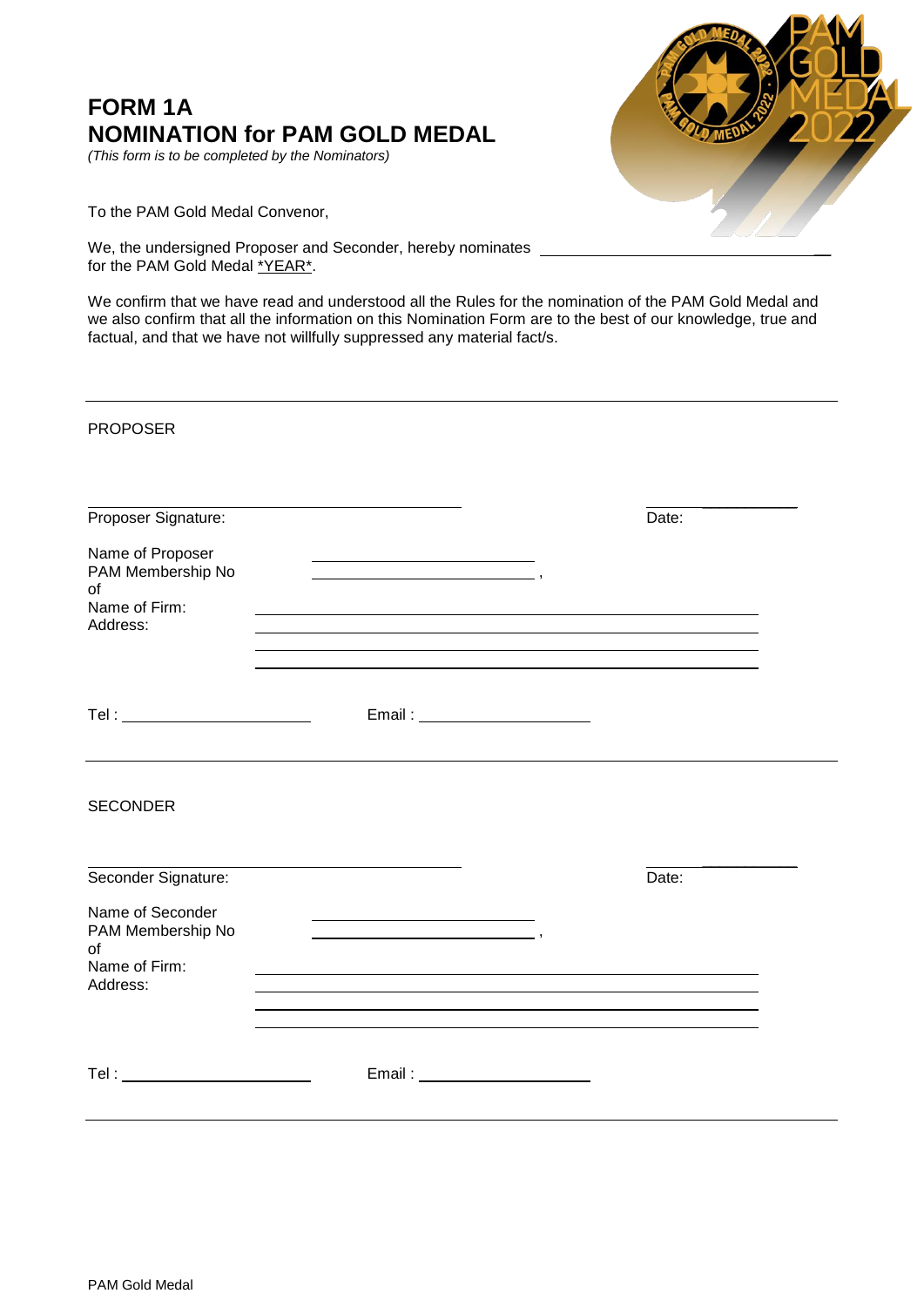# **FORM 1A NOMINATION for PAM GOLD MEDAL**

*(This form is to be completed by the Nominators)*



To the PAM Gold Medal Convenor,

PROPOSER

We, the undersigned Proposer and Seconder, hereby nominates for the PAM Gold Medal \*YEAR\*.

We confirm that we have read and understood all the Rules for the nomination of the PAM Gold Medal and we also confirm that all the information on this Nomination Form are to the best of our knowledge, true and factual, and that we have not willfully suppressed any material fact/s.

| <b>FRUFUSER</b>                                                          |                                                                                                                                                                                                                                                                                 |       |
|--------------------------------------------------------------------------|---------------------------------------------------------------------------------------------------------------------------------------------------------------------------------------------------------------------------------------------------------------------------------|-------|
| Proposer Signature:                                                      |                                                                                                                                                                                                                                                                                 | Date: |
| Name of Proposer<br>PAM Membership No<br>of<br>Name of Firm:<br>Address: | <u> 1989 - Johann Barn, mars ann an t-Amhain an t-Amhain an t-Amhain an t-Amhain an t-Amhain an t-Amhain an t-Amh</u><br>$\mathcal{L} = \{ \mathcal{L} \mid \mathcal{L} \in \mathcal{L} \}$<br>,我们也不会有什么。""我们的人,我们也不会有什么?""我们的人,我们也不会有什么?""我们的人,我们也不会有什么?""我们的人,我们也不会有什么?""我们的人 |       |
| Tel : __________________________                                         |                                                                                                                                                                                                                                                                                 |       |
| <b>SECONDER</b>                                                          |                                                                                                                                                                                                                                                                                 |       |
| Seconder Signature:                                                      |                                                                                                                                                                                                                                                                                 | Date: |
| Name of Seconder<br>PAM Membership No<br>of<br>Name of Firm:<br>Address: |                                                                                                                                                                                                                                                                                 |       |
| Tel : ___________________________                                        | Email: _______________________                                                                                                                                                                                                                                                  |       |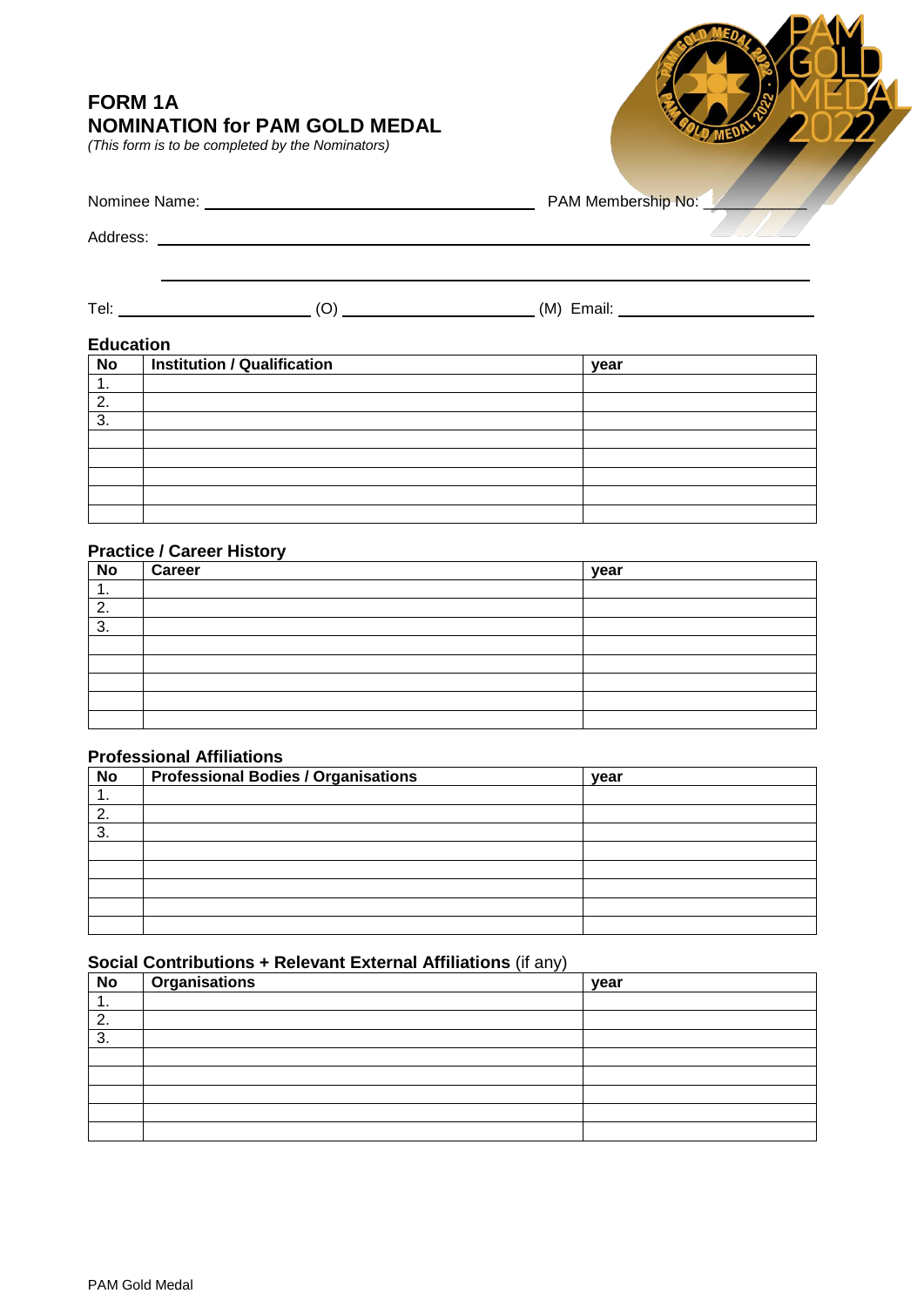## **FORM 1A NOMINATION for PAM GOLD MEDAL**

*(This form is to be completed by the Nominators)*



# Nominee Name: Nominee Name: PAM Membership No:

Address: \_\_\_\_\_\_

Tel: (O) (M) Email:

#### **Education**

| <b>No</b> | <b>Institution / Qualification</b> | year |
|-----------|------------------------------------|------|
| . .       |                                    |      |
| ົ         |                                    |      |
| 3.        |                                    |      |
|           |                                    |      |
|           |                                    |      |
|           |                                    |      |
|           |                                    |      |
|           |                                    |      |

#### **Practice / Career History**

| N <sub>o</sub> | Career | year |
|----------------|--------|------|
| . .            |        |      |
| n<br><u>.</u>  |        |      |
| 3.             |        |      |
|                |        |      |
|                |        |      |
|                |        |      |
|                |        |      |
|                |        |      |

#### **Professional Affiliations**

| <b>No</b> | <b>Professional Bodies / Organisations</b> | year |
|-----------|--------------------------------------------|------|
|           |                                            |      |
| n         |                                            |      |
| ົ<br>ت    |                                            |      |
|           |                                            |      |
|           |                                            |      |
|           |                                            |      |
|           |                                            |      |
|           |                                            |      |

### **Social Contributions + Relevant External Affiliations** (if any)

| No  | <b>Organisations</b> | year |
|-----|----------------------|------|
| . . |                      |      |
| 2.  |                      |      |
| 3.  |                      |      |
|     |                      |      |
|     |                      |      |
|     |                      |      |
|     |                      |      |
|     |                      |      |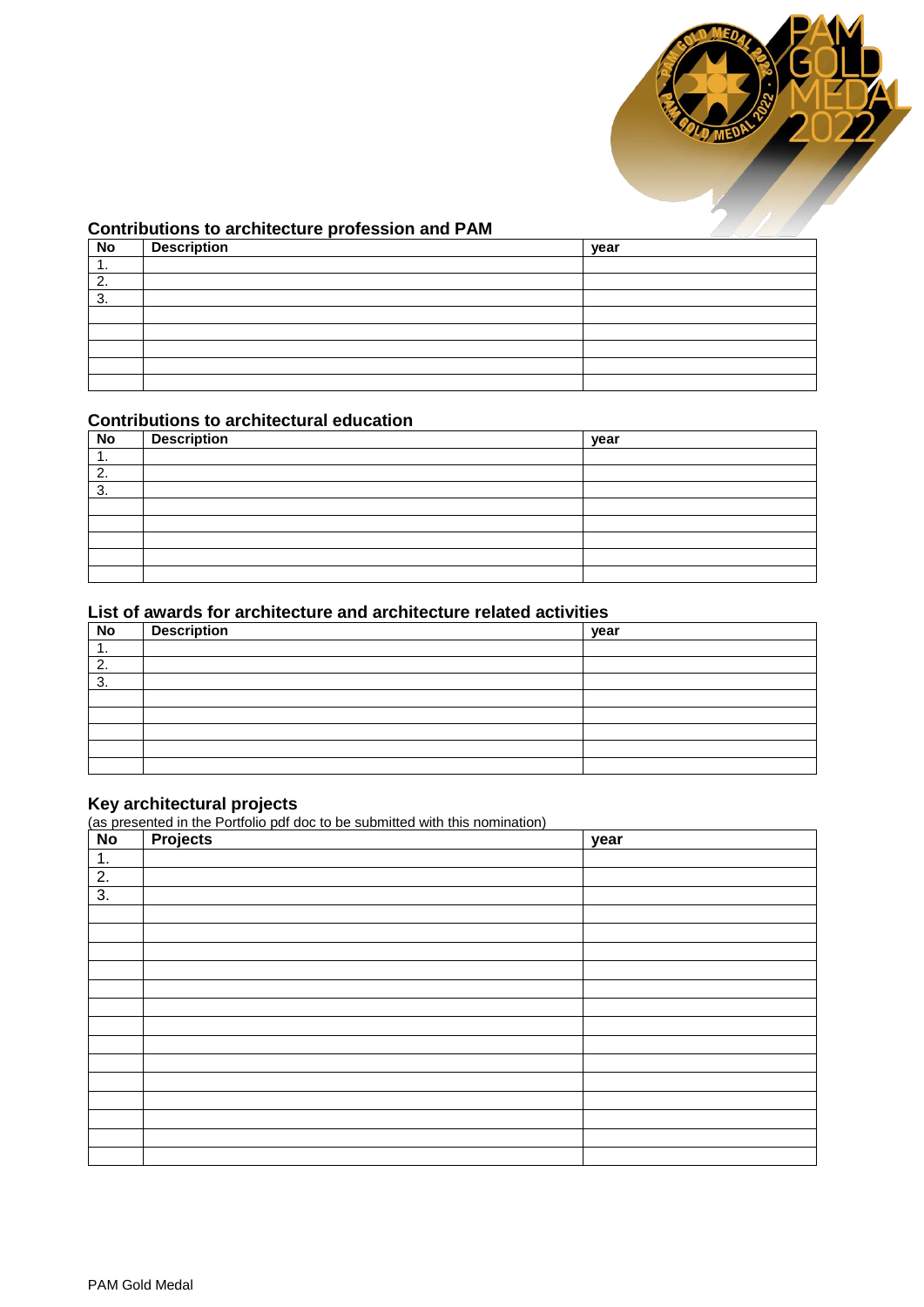

#### **Contributions to architecture profession and PAM**

| <b>No</b> | <b>Description</b> | year |
|-----------|--------------------|------|
|           |                    |      |
| 2.        |                    |      |
| 3.        |                    |      |
|           |                    |      |
|           |                    |      |
|           |                    |      |
|           |                    |      |
|           |                    |      |

### **Contributions to architectural education**

| No            | <b>Description</b> | year |
|---------------|--------------------|------|
| . .           |                    |      |
| ົ<br><u>.</u> |                    |      |
| 3.            |                    |      |
|               |                    |      |
|               |                    |      |
|               |                    |      |
|               |                    |      |
|               |                    |      |

#### **List of awards for architecture and architecture related activities**

| No            | <b>Description</b> | year |
|---------------|--------------------|------|
| . .           |                    |      |
| ົ<br><u>.</u> |                    |      |
| ◠             |                    |      |
|               |                    |      |
|               |                    |      |
|               |                    |      |
|               |                    |      |
|               |                    |      |

#### **Key architectural projects**

(as presented in the Portfolio pdf doc to be submitted with this nomination)

| $\overline{N}$   | <b>Projects</b> | year |
|------------------|-----------------|------|
| $\mathbf{1}$ .   |                 |      |
| $\overline{2}$ . |                 |      |
| $\overline{3}$ . |                 |      |
|                  |                 |      |
|                  |                 |      |
|                  |                 |      |
|                  |                 |      |
|                  |                 |      |
|                  |                 |      |
|                  |                 |      |
|                  |                 |      |
|                  |                 |      |
|                  |                 |      |
|                  |                 |      |
|                  |                 |      |
|                  |                 |      |
|                  |                 |      |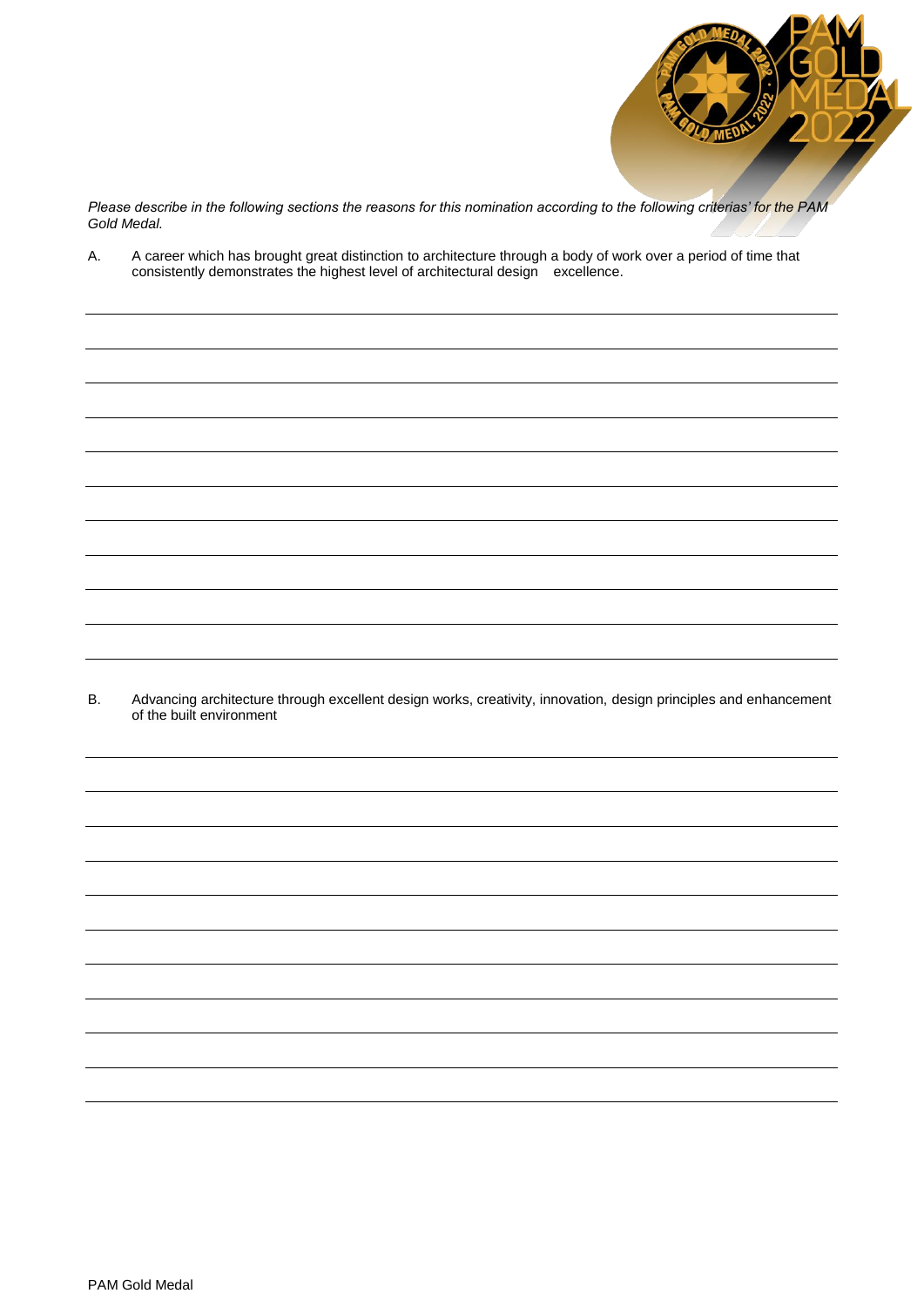

*Please describe in the following sections the reasons for this nomination according to the following criterias' for the PAM Gold Medal.*

A. A career which has brought great distinction to architecture through a body of work over a period of time that consistently demonstrates the highest level of architectural design excellence.

B. Advancing architecture through excellent design works, creativity, innovation, design principles and enhancement of the built environment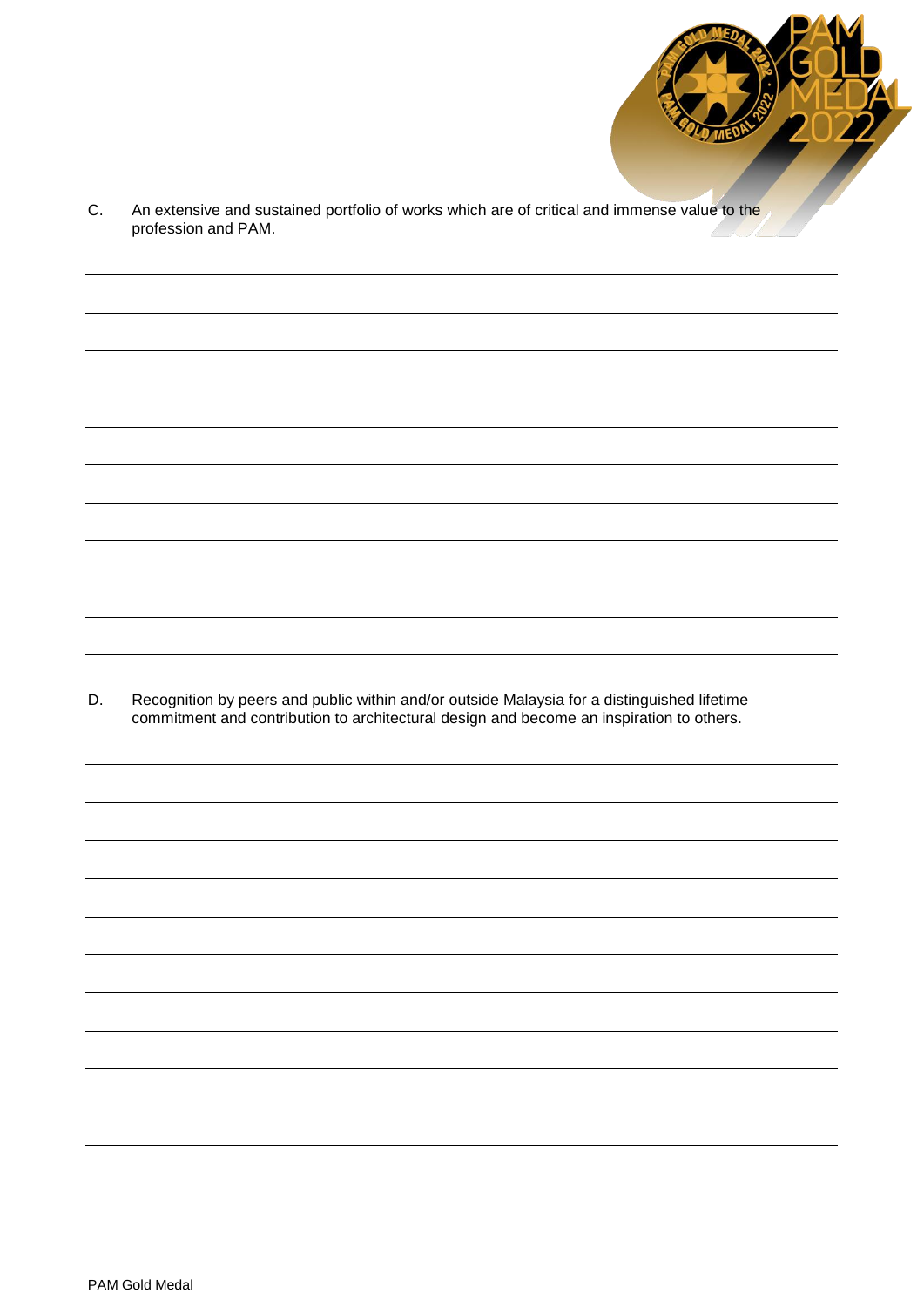C. An extensive and sustained portfolio of works which are of critical and immense value to the profession and PAM.

D. Recognition by peers and public within and/or outside Malaysia for a distinguished lifetime commitment and contribution to architectural design and become an inspiration to others.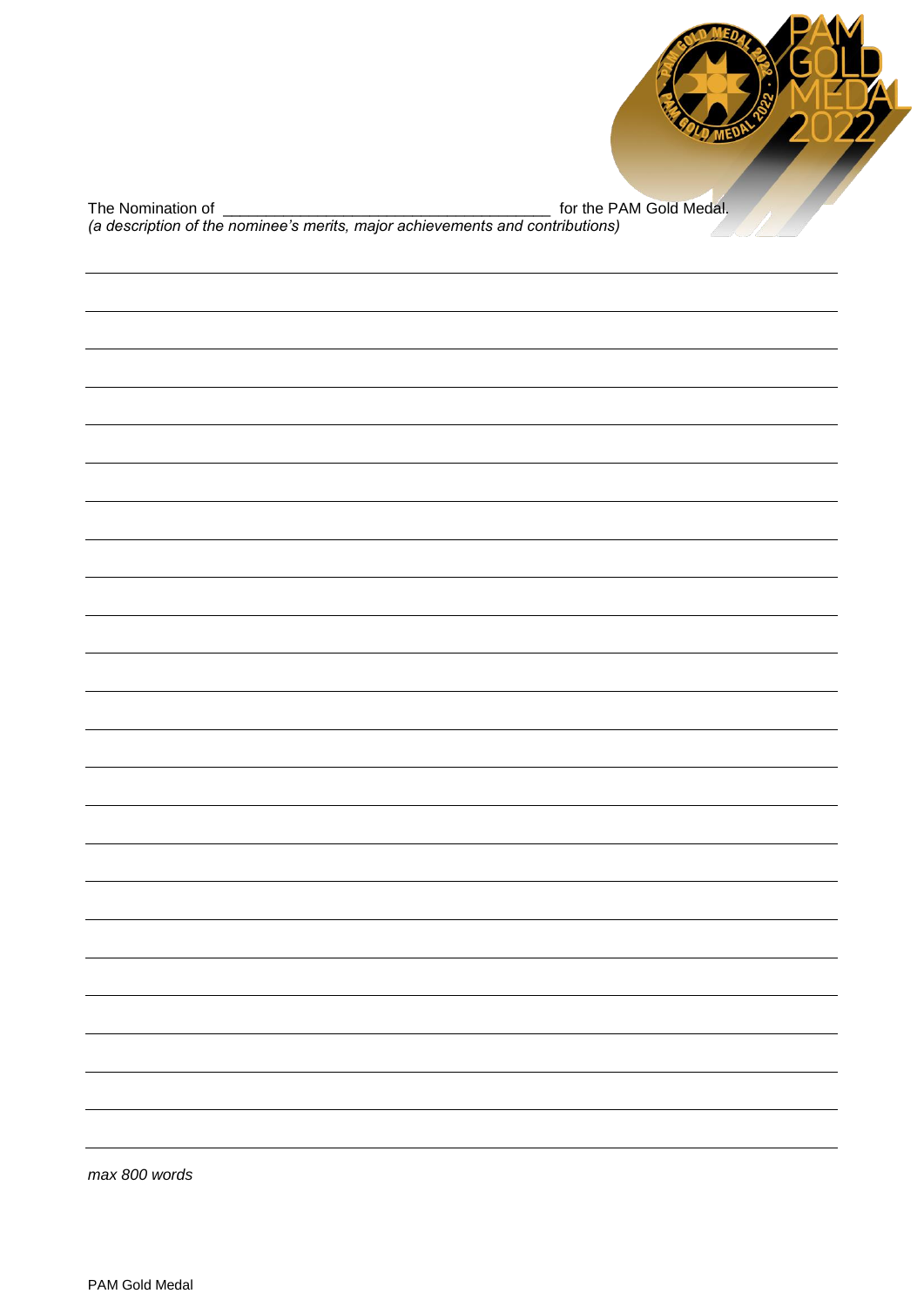The Nomination of \_\_\_\_\_\_\_\_\_\_\_\_\_\_\_\_\_\_\_\_\_\_\_\_\_\_\_\_\_\_\_\_\_\_\_\_\_\_ for the PAM Gold Medal. *(a description of the nominee's merits, major achievements and contributions)*

*max 800 words*